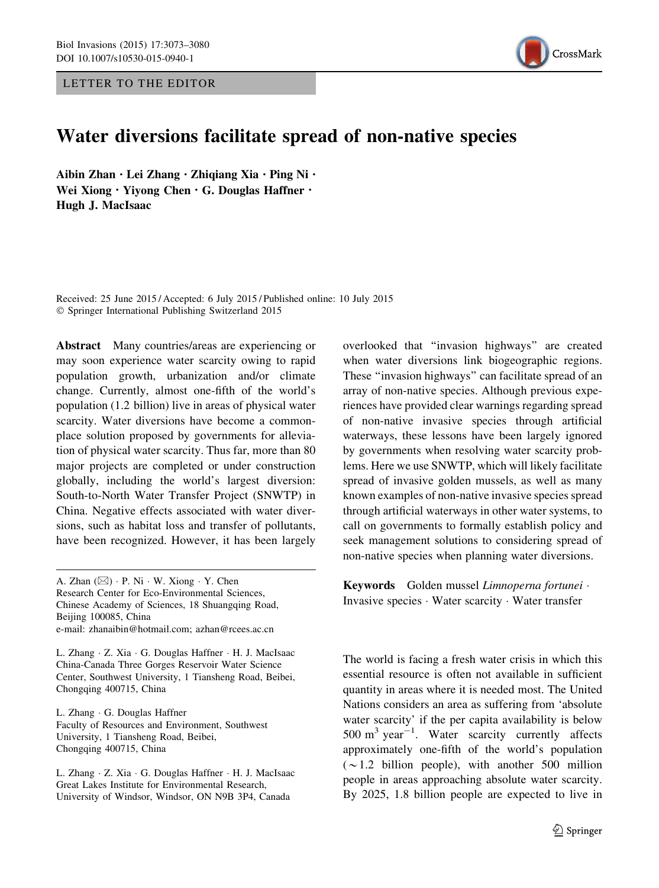LETTER TO THE EDITOR



## Water diversions facilitate spread of non-native species

Aibin Zhan · Lei Zhang · Zhiqiang Xia · Ping Ni · Wei Xiong · Yiyong Chen · G. Douglas Haffner · Hugh J. MacIsaac

Received: 25 June 2015 / Accepted: 6 July 2015 / Published online: 10 July 2015 - Springer International Publishing Switzerland 2015

Abstract Many countries/areas are experiencing or may soon experience water scarcity owing to rapid population growth, urbanization and/or climate change. Currently, almost one-fifth of the world's population (1.2 billion) live in areas of physical water scarcity. Water diversions have become a commonplace solution proposed by governments for alleviation of physical water scarcity. Thus far, more than 80 major projects are completed or under construction globally, including the world's largest diversion: South-to-North Water Transfer Project (SNWTP) in China. Negative effects associated with water diversions, such as habitat loss and transfer of pollutants, have been recognized. However, it has been largely

A. Zhan (&) - P. Ni - W. Xiong - Y. Chen Research Center for Eco-Environmental Sciences, Chinese Academy of Sciences, 18 Shuangqing Road, Beijing 100085, China e-mail: zhanaibin@hotmail.com; azhan@rcees.ac.cn

L. Zhang - Z. Xia - G. Douglas Haffner - H. J. MacIsaac China-Canada Three Gorges Reservoir Water Science Center, Southwest University, 1 Tiansheng Road, Beibei, Chongqing 400715, China

L. Zhang - G. Douglas Haffner Faculty of Resources and Environment, Southwest University, 1 Tiansheng Road, Beibei, Chongqing 400715, China

L. Zhang - Z. Xia - G. Douglas Haffner - H. J. MacIsaac Great Lakes Institute for Environmental Research, University of Windsor, Windsor, ON N9B 3P4, Canada

overlooked that ''invasion highways'' are created when water diversions link biogeographic regions. These ''invasion highways'' can facilitate spread of an array of non-native species. Although previous experiences have provided clear warnings regarding spread of non-native invasive species through artificial waterways, these lessons have been largely ignored by governments when resolving water scarcity problems. Here we use SNWTP, which will likely facilitate spread of invasive golden mussels, as well as many known examples of non-native invasive species spread through artificial waterways in other water systems, to call on governments to formally establish policy and seek management solutions to considering spread of non-native species when planning water diversions.

Keywords Golden mussel Limnoperna fortunei -Invasive species - Water scarcity - Water transfer

The world is facing a fresh water crisis in which this essential resource is often not available in sufficient quantity in areas where it is needed most. The United Nations considers an area as suffering from 'absolute water scarcity' if the per capita availability is below  $500 \text{ m}^3 \text{ year}^{-1}$ . Water scarcity currently affects approximately one-fifth of the world's population  $(\sim 1.2$  billion people), with another 500 million people in areas approaching absolute water scarcity. By 2025, 1.8 billion people are expected to live in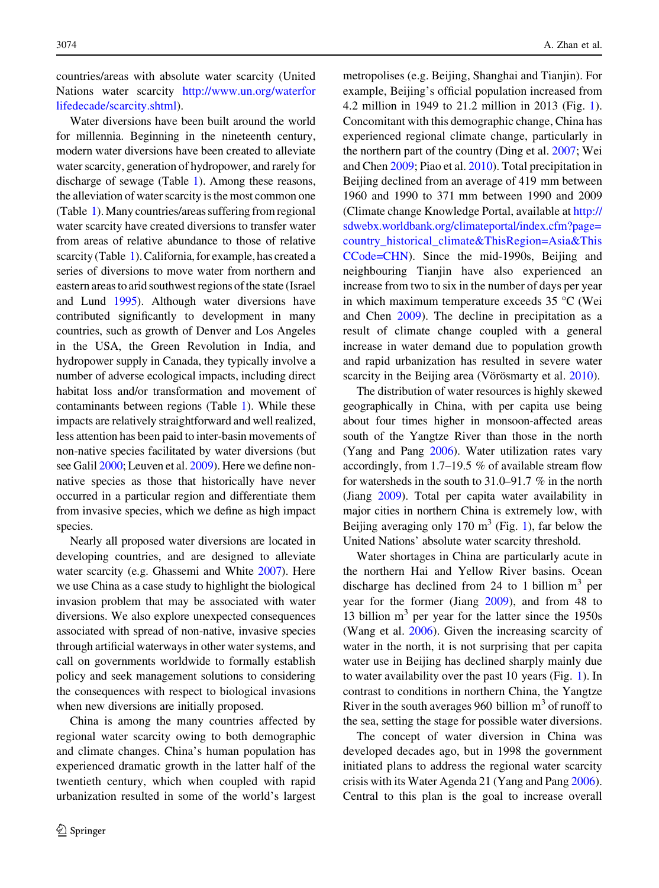countries/areas with absolute water scarcity (United Nations water scarcity [http://www.un.org/waterfor](http://www.un.org/waterforlifedecade/scarcity.shtml) [lifedecade/scarcity.shtml\)](http://www.un.org/waterforlifedecade/scarcity.shtml).

Water diversions have been built around the world for millennia. Beginning in the nineteenth century, modern water diversions have been created to alleviate water scarcity, generation of hydropower, and rarely for discharge of sewage (Table [1](#page-2-0)). Among these reasons, the alleviation of water scarcity is the most common one (Table [1\)](#page-2-0).Many countries/areas suffering from regional water scarcity have created diversions to transfer water from areas of relative abundance to those of relative scarcity (Table [1](#page-2-0)). California, for example, has created a series of diversions to move water from northern and eastern areas to arid southwest regions of the state (Israel and Lund [1995\)](#page-7-0). Although water diversions have contributed significantly to development in many countries, such as growth of Denver and Los Angeles in the USA, the Green Revolution in India, and hydropower supply in Canada, they typically involve a number of adverse ecological impacts, including direct habitat loss and/or transformation and movement of contaminants between regions (Table [1](#page-2-0)). While these impacts are relatively straightforward and well realized, less attention has been paid to inter-basin movements of non-native species facilitated by water diversions (but see Galil [2000;](#page-6-0) Leuven et al. [2009](#page-7-0)). Here we define nonnative species as those that historically have never occurred in a particular region and differentiate them from invasive species, which we define as high impact species.

Nearly all proposed water diversions are located in developing countries, and are designed to alleviate water scarcity (e.g. Ghassemi and White [2007\)](#page-6-0). Here we use China as a case study to highlight the biological invasion problem that may be associated with water diversions. We also explore unexpected consequences associated with spread of non-native, invasive species through artificial waterways in other water systems, and call on governments worldwide to formally establish policy and seek management solutions to considering the consequences with respect to biological invasions when new diversions are initially proposed.

China is among the many countries affected by regional water scarcity owing to both demographic and climate changes. China's human population has experienced dramatic growth in the latter half of the twentieth century, which when coupled with rapid urbanization resulted in some of the world's largest metropolises (e.g. Beijing, Shanghai and Tianjin). For example, Beijing's official population increased from 4.2 million in 1949 to 21.2 million in 2013 (Fig. [1](#page-3-0)). Concomitant with this demographic change, China has experienced regional climate change, particularly in the northern part of the country (Ding et al. [2007](#page-6-0); Wei and Chen [2009](#page-7-0); Piao et al. [2010](#page-7-0)). Total precipitation in Beijing declined from an average of 419 mm between 1960 and 1990 to 371 mm between 1990 and 2009 (Climate change Knowledge Portal, available at [http://](http://sdwebx.worldbank.org/climateportal/index.cfm%3fpage%3dcountry_historical_climate%26ThisRegion%3dAsia%26ThisCCode%3dCHN) [sdwebx.worldbank.org/climateportal/index.cfm?page=](http://sdwebx.worldbank.org/climateportal/index.cfm%3fpage%3dcountry_historical_climate%26ThisRegion%3dAsia%26ThisCCode%3dCHN) [country\\_historical\\_climate&ThisRegion=Asia&This](http://sdwebx.worldbank.org/climateportal/index.cfm%3fpage%3dcountry_historical_climate%26ThisRegion%3dAsia%26ThisCCode%3dCHN) [CCode=CHN](http://sdwebx.worldbank.org/climateportal/index.cfm%3fpage%3dcountry_historical_climate%26ThisRegion%3dAsia%26ThisCCode%3dCHN)). Since the mid-1990s, Beijing and neighbouring Tianjin have also experienced an increase from two to six in the number of days per year in which maximum temperature exceeds  $35^{\circ}$ C (Wei and Chen [2009\)](#page-7-0). The decline in precipitation as a result of climate change coupled with a general increase in water demand due to population growth and rapid urbanization has resulted in severe water scarcity in the Beijing area (Vörösmarty et al. [2010\)](#page-7-0).

The distribution of water resources is highly skewed geographically in China, with per capita use being about four times higher in monsoon-affected areas south of the Yangtze River than those in the north (Yang and Pang [2006\)](#page-7-0). Water utilization rates vary accordingly, from 1.7–19.5 % of available stream flow for watersheds in the south to 31.0–91.7 % in the north (Jiang [2009](#page-7-0)). Total per capita water availability in major cities in northern China is extremely low, with Beijing averaging only [1](#page-3-0)70  $m<sup>3</sup>$  (Fig. 1), far below the United Nations' absolute water scarcity threshold.

Water shortages in China are particularly acute in the northern Hai and Yellow River basins. Ocean discharge has declined from 24 to 1 billion  $m<sup>3</sup>$  per year for the former (Jiang [2009\)](#page-7-0), and from 48 to 13 billion  $m<sup>3</sup>$  per year for the latter since the 1950s (Wang et al. [2006\)](#page-7-0). Given the increasing scarcity of water in the north, it is not surprising that per capita water use in Beijing has declined sharply mainly due to water availability over the past 10 years (Fig. [1\)](#page-3-0). In contrast to conditions in northern China, the Yangtze River in the south averages 960 billion  $m<sup>3</sup>$  of runoff to the sea, setting the stage for possible water diversions.

The concept of water diversion in China was developed decades ago, but in 1998 the government initiated plans to address the regional water scarcity crisis with its Water Agenda 21 (Yang and Pang [2006](#page-7-0)). Central to this plan is the goal to increase overall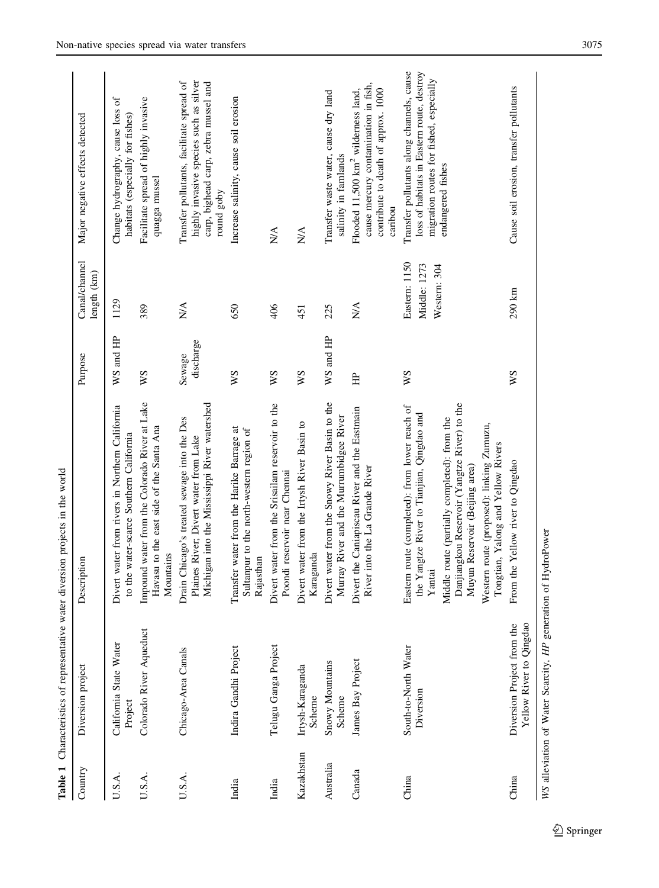<span id="page-2-0"></span>

| Country    | Diversion project                                             | Description                                                                                                                                                                                                                                                                                                                 | Purpose             | Canal/channel<br>length (km)                  | Major negative effects detected                                                                                                                         |
|------------|---------------------------------------------------------------|-----------------------------------------------------------------------------------------------------------------------------------------------------------------------------------------------------------------------------------------------------------------------------------------------------------------------------|---------------------|-----------------------------------------------|---------------------------------------------------------------------------------------------------------------------------------------------------------|
| U.S.A.     | California State Water<br>Project                             | Divert water from rivers in Northern California<br>to the water-scarce Southern California                                                                                                                                                                                                                                  | WS and HP           | 1129                                          | Change hydrography, cause loss of<br>habitats (especially for fishes)                                                                                   |
| U.S.A.     | Colorado River Aqueduct                                       | Impound water from the Colorado River at Lake<br>Havasu to the east side of the Santa Ana<br>Mountains                                                                                                                                                                                                                      | ws                  | 389                                           | Facilitate spread of highly invasive<br>quagga mussel                                                                                                   |
| U.S.A.     | Chicago-Area Canals                                           | Michigan into the Mississippi River watershed<br>Drain Chicago's treated sewage into the Des<br>Plaines River; Divert water from Lake                                                                                                                                                                                       | discharge<br>Sewage | N/A                                           | highly invasive species such as silver<br>Transfer pollutants, facilitate spread of<br>carp, bighead carp, zebra mussel and<br>round goby               |
| India      | Indira Gandhi Project                                         | Transfer water from the Harike Barrage at<br>Sultanpur to the north-western region of<br>Rajasthan                                                                                                                                                                                                                          | ws                  | 650                                           | Increase salinity, cause soil erosion                                                                                                                   |
| India      | Telugu Ganga Project                                          | Divert water from the Srisailam reservoir to the<br>Poondi reservoir near Chennai                                                                                                                                                                                                                                           | XS                  | 406                                           | <b>N/A</b>                                                                                                                                              |
| Kazakhstan | Irtysh-Karaganda<br>Scheme                                    | Divert water from the Irtysh River Basin to<br>Karaganda                                                                                                                                                                                                                                                                    | χM                  | 451                                           | $\frac{1}{2}$                                                                                                                                           |
| Australia  | Snowy Mountains<br>Scheme                                     | Divert water from the Snowy River Basin to the<br>Murray River and the Murrumbidgee River                                                                                                                                                                                                                                   | WS and HP           | 225                                           | Transfer waste water, cause dry land<br>salinity in farnlands                                                                                           |
| Canada     | James Bay Project                                             | Divert the Caniapiscau River and the Eastmain<br>River into the La Grande River                                                                                                                                                                                                                                             | 臣                   | $\sum_{i=1}^{n}$                              | cause mercury contamination in fish,<br>Flooded 11,500 km <sup>2</sup> wilderness land,<br>contribute to death of approx. 1000<br>caribou               |
| China      | South-to-North Water<br>Diversion                             | Danjiangkou Reservoir (Yangtze River) to the<br>Eastern route (completed): from lower reach of<br>the Yangtze River to Tianjian, Qingdao and<br>Middle route (partially completed): from the<br>Western route (proposed): linking Zumuzu,<br>Tongtian, Yalong and Yellow Rivers<br>Muyun Reservoir (Beijing area)<br>Yantai | χχ                  | Eastern: 1150<br>Middle: 1273<br>Western: 304 | Transfer pollutants along channels, cause<br>loss of habitats in Eastern route, destroy<br>migration routes for fished, especially<br>endangered fishes |
| China      | Yellow River to Qingdao<br>Diversion Project from the         | From the Yellow river to Qingdao                                                                                                                                                                                                                                                                                            | χM                  | 290 km                                        | Cause soil erosion, transfer pollutants                                                                                                                 |
|            | WS alleviation of Water Scarcity, HP generation of HydroPower |                                                                                                                                                                                                                                                                                                                             |                     |                                               |                                                                                                                                                         |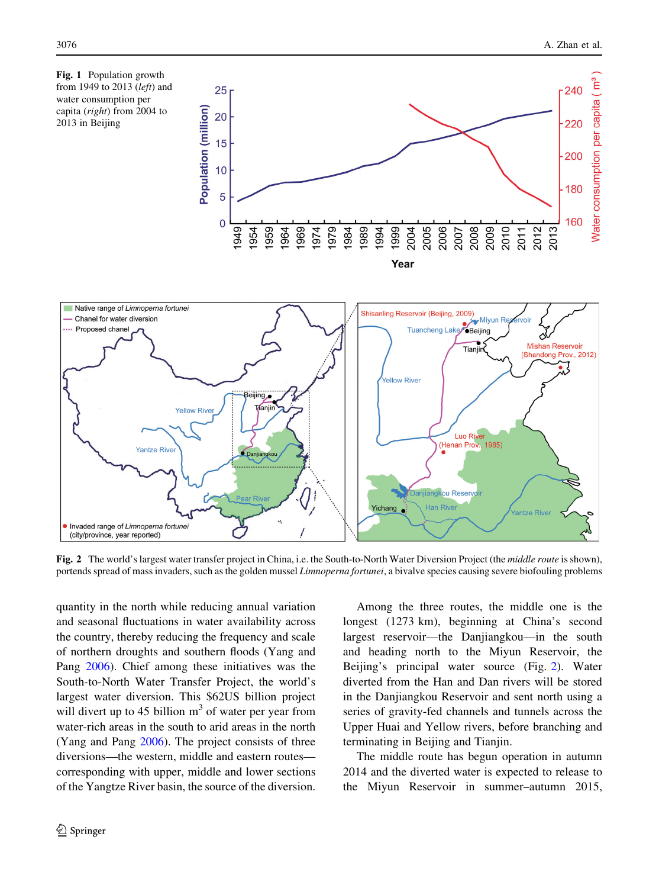<span id="page-3-0"></span>

Fig. 2 The world's largest water transfer project in China, i.e. the South-to-North Water Diversion Project (the middle route is shown), portends spread of mass invaders, such as the golden mussel Limnoperna fortunei, a bivalve species causing severe biofouling problems

quantity in the north while reducing annual variation and seasonal fluctuations in water availability across the country, thereby reducing the frequency and scale of northern droughts and southern floods (Yang and Pang [2006](#page-7-0)). Chief among these initiatives was the South-to-North Water Transfer Project, the world's largest water diversion. This \$62US billion project will divert up to 45 billion  $m<sup>3</sup>$  of water per year from water-rich areas in the south to arid areas in the north (Yang and Pang [2006](#page-7-0)). The project consists of three diversions—the western, middle and eastern routes corresponding with upper, middle and lower sections of the Yangtze River basin, the source of the diversion.

Among the three routes, the middle one is the longest (1273 km), beginning at China's second largest reservoir—the Danjiangkou—in the south and heading north to the Miyun Reservoir, the Beijing's principal water source (Fig. 2). Water diverted from the Han and Dan rivers will be stored in the Danjiangkou Reservoir and sent north using a series of gravity-fed channels and tunnels across the Upper Huai and Yellow rivers, before branching and terminating in Beijing and Tianjin.

The middle route has begun operation in autumn 2014 and the diverted water is expected to release to the Miyun Reservoir in summer–autumn 2015,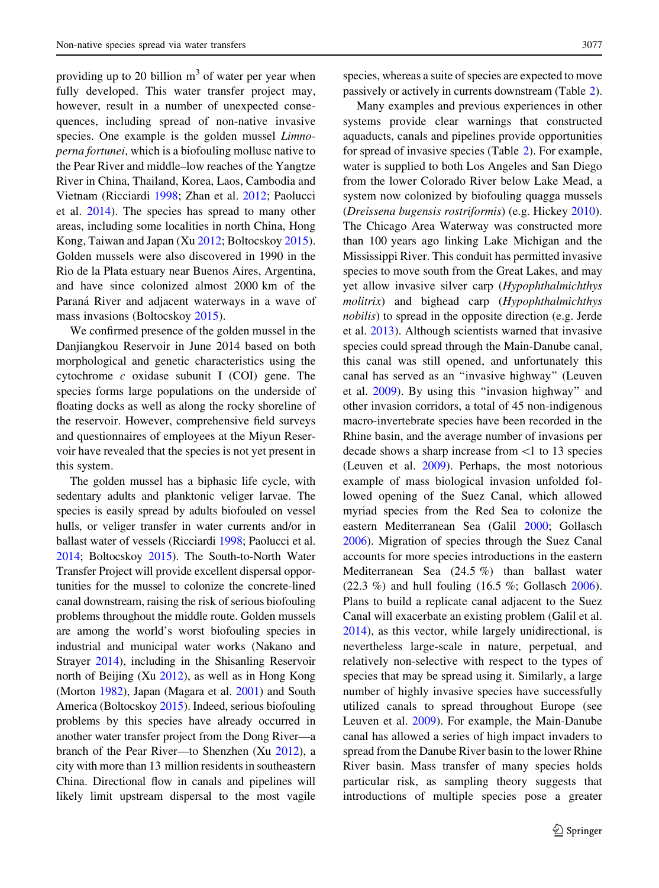providing up to 20 billion  $m<sup>3</sup>$  of water per year when fully developed. This water transfer project may, however, result in a number of unexpected consequences, including spread of non-native invasive species. One example is the golden mussel Limnoperna fortunei, which is a biofouling mollusc native to the Pear River and middle–low reaches of the Yangtze River in China, Thailand, Korea, Laos, Cambodia and Vietnam (Ricciardi [1998;](#page-7-0) Zhan et al. [2012;](#page-7-0) Paolucci et al. [2014](#page-7-0)). The species has spread to many other areas, including some localities in north China, Hong Kong, Taiwan and Japan (Xu [2012](#page-7-0); Boltocskoy [2015](#page-6-0)). Golden mussels were also discovered in 1990 in the Rio de la Plata estuary near Buenos Aires, Argentina, and have since colonized almost 2000 km of the Paraná River and adjacent waterways in a wave of mass invasions (Boltocskoy [2015\)](#page-6-0).

We confirmed presence of the golden mussel in the Danjiangkou Reservoir in June 2014 based on both morphological and genetic characteristics using the cytochrome  $c$  oxidase subunit I (COI) gene. The species forms large populations on the underside of floating docks as well as along the rocky shoreline of the reservoir. However, comprehensive field surveys and questionnaires of employees at the Miyun Reservoir have revealed that the species is not yet present in this system.

The golden mussel has a biphasic life cycle, with sedentary adults and planktonic veliger larvae. The species is easily spread by adults biofouled on vessel hulls, or veliger transfer in water currents and/or in ballast water of vessels (Ricciardi [1998](#page-7-0); Paolucci et al. [2014](#page-7-0); Boltocskoy [2015\)](#page-6-0). The South-to-North Water Transfer Project will provide excellent dispersal opportunities for the mussel to colonize the concrete-lined canal downstream, raising the risk of serious biofouling problems throughout the middle route. Golden mussels are among the world's worst biofouling species in industrial and municipal water works (Nakano and Strayer [2014\)](#page-7-0), including in the Shisanling Reservoir north of Beijing (Xu [2012](#page-7-0)), as well as in Hong Kong (Morton [1982](#page-7-0)), Japan (Magara et al. [2001](#page-7-0)) and South America (Boltocskoy [2015](#page-6-0)). Indeed, serious biofouling problems by this species have already occurred in another water transfer project from the Dong River—a branch of the Pear River—to Shenzhen (Xu [2012](#page-7-0)), a city with more than 13 million residents in southeastern China. Directional flow in canals and pipelines will likely limit upstream dispersal to the most vagile species, whereas a suite of species are expected to move passively or actively in currents downstream (Table [2\)](#page-5-0).

Many examples and previous experiences in other systems provide clear warnings that constructed aquaducts, canals and pipelines provide opportunities for spread of invasive species (Table [2](#page-5-0)). For example, water is supplied to both Los Angeles and San Diego from the lower Colorado River below Lake Mead, a system now colonized by biofouling quagga mussels (Dreissena bugensis rostriformis) (e.g. Hickey [2010](#page-7-0)). The Chicago Area Waterway was constructed more than 100 years ago linking Lake Michigan and the Mississippi River. This conduit has permitted invasive species to move south from the Great Lakes, and may yet allow invasive silver carp (Hypophthalmichthys molitrix) and bighead carp (Hypophthalmichthys nobilis) to spread in the opposite direction (e.g. Jerde et al. [2013\)](#page-7-0). Although scientists warned that invasive species could spread through the Main-Danube canal, this canal was still opened, and unfortunately this canal has served as an ''invasive highway'' (Leuven et al. [2009\)](#page-7-0). By using this ''invasion highway'' and other invasion corridors, a total of 45 non-indigenous macro-invertebrate species have been recorded in the Rhine basin, and the average number of invasions per decade shows a sharp increase from <1 to 13 species (Leuven et al. [2009\)](#page-7-0). Perhaps, the most notorious example of mass biological invasion unfolded followed opening of the Suez Canal, which allowed myriad species from the Red Sea to colonize the eastern Mediterranean Sea (Galil [2000](#page-6-0); Gollasch [2006\)](#page-7-0). Migration of species through the Suez Canal accounts for more species introductions in the eastern Mediterranean Sea (24.5 %) than ballast water (22.3 %) and hull fouling (16.5 %; Gollasch [2006](#page-7-0)). Plans to build a replicate canal adjacent to the Suez Canal will exacerbate an existing problem (Galil et al. [2014\)](#page-6-0), as this vector, while largely unidirectional, is nevertheless large-scale in nature, perpetual, and relatively non-selective with respect to the types of species that may be spread using it. Similarly, a large number of highly invasive species have successfully utilized canals to spread throughout Europe (see Leuven et al. [2009](#page-7-0)). For example, the Main-Danube canal has allowed a series of high impact invaders to spread from the Danube River basin to the lower Rhine River basin. Mass transfer of many species holds particular risk, as sampling theory suggests that introductions of multiple species pose a greater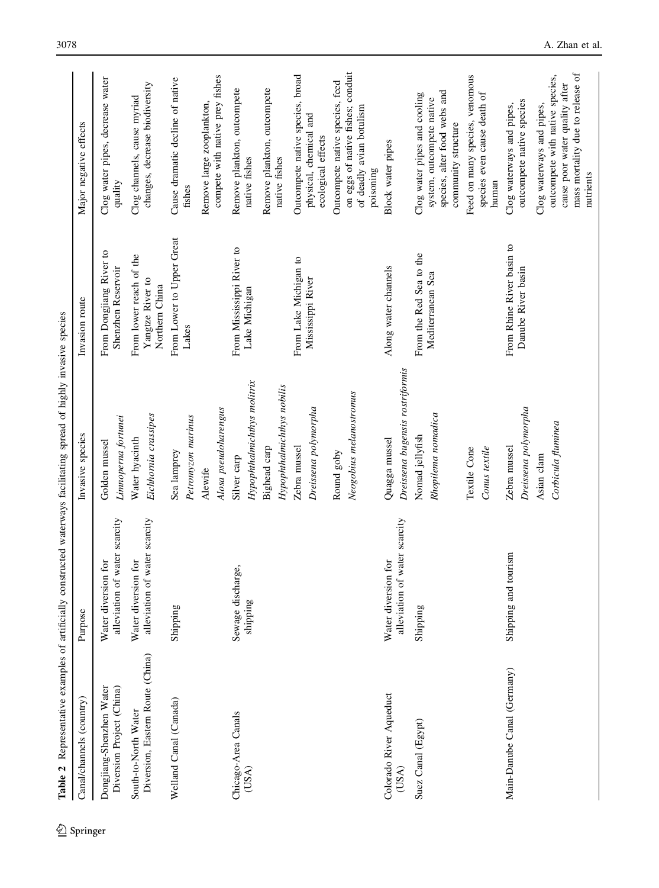<span id="page-5-0"></span>

| Table 2 Representative examples of artificially constructed waterways facilitating spread of highly invasive species |                                                      |                                                                    |                                                               |                                                                                                                                                 |
|----------------------------------------------------------------------------------------------------------------------|------------------------------------------------------|--------------------------------------------------------------------|---------------------------------------------------------------|-------------------------------------------------------------------------------------------------------------------------------------------------|
| Canal/channels (country)                                                                                             | Purpose                                              | Invasive species                                                   | Invasion route                                                | Major negative effects                                                                                                                          |
| Dongjiang-Shenzhen Water<br>Diversion Project (China)                                                                | alleviation of water scarcity<br>Water diversion for | Limnoperna fortunei<br>Golden mussel                               | From Dongjiang River to<br>Shenzhen Reservoir                 | Clog water pipes, decrease water<br>quality                                                                                                     |
| Diversion, Eastern Route (China)<br>South-to-North Water                                                             | alleviation of water scarcity<br>Water diversion for | Eichhornia crassipes<br>Water hyacinth                             | From lower reach of the<br>Yangtze River to<br>Northern China | changes, decrease biodiversity<br>Clog channels, cause myriad                                                                                   |
| Welland Canal (Canada)                                                                                               | Shipping                                             | Petromyzon marinus<br>Sea lamprey<br>Alewife                       | From Lower to Upper Great<br>Lakes                            | Cause dramatic decline of native<br>Remove large zooplankton,<br>fishes                                                                         |
| Chicago-Area Canals<br>(USA)                                                                                         | discharge,<br>shipping<br>Sewage                     | Hypophthalmichthys molitrix<br>Alosa pseudoharengus<br>Silver carp | From Mississippi River to<br>Lake Michigan                    | compete with native prey fishes<br>Remove plankton, outcompete<br>native fishes                                                                 |
|                                                                                                                      |                                                      | Hypophthalmichthys nobilis<br>Bighead carp                         |                                                               | Remove plankton, outcompete<br>native fishes                                                                                                    |
|                                                                                                                      |                                                      | Dreissena polymorpha<br>Zebra mussel                               | From Lake Michigan to<br>Mississippi River                    | Outcompete native species, broad<br>physical, chemical and<br>ecological effects                                                                |
|                                                                                                                      |                                                      | Neogobius melanostromus<br>Round goby                              |                                                               | on eggs of native fishes; conduit<br>Outcompete native species, feed<br>of deadly avian botulism<br>poisoning                                   |
| Colorado River Aqueduct<br>(USA)                                                                                     | alleviation of water scarcity<br>Water diversion for | Dreissena bugensis rostriformis<br>Quagga mussel                   | Along water channels                                          | Block water pipes                                                                                                                               |
| Suez Canal (Egypt)                                                                                                   | Shipping                                             | Rhopilema nomadica<br>Nomad jellyfish                              | From the Red Sea to the<br>Mediterranean Sea                  | species, alter food webs and<br>Clog water pipes and cooling<br>system, outcompete native<br>community structure                                |
|                                                                                                                      |                                                      | Textile Cone<br>Conus textile                                      |                                                               | Feed on many species, venomous<br>species even cause death of<br>human                                                                          |
| Main-Danube Canal (Germany)                                                                                          | Shipping and tourism                                 | Dreissena polymorpha<br>Zebra mussel                               | From Rhine River basin to<br>Danube River basin               | outcompete native species<br>Clog waterways and pipes,                                                                                          |
|                                                                                                                      |                                                      | Corbicula fluminea<br>Asian clam                                   |                                                               | mass mortality due to release of<br>outcompete with native species,<br>cause poor water quality after<br>Clog waterways and pipes,<br>nutrients |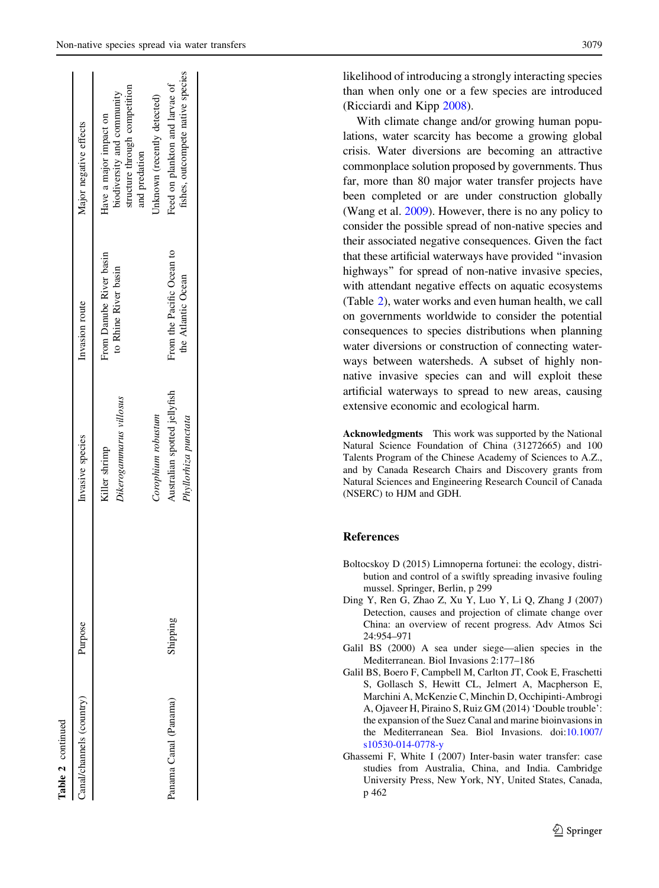<span id="page-6-0"></span>

| Canal/channels (country) | Purpose  | Invasive species                                     | Invasion route                                  | Major negative effects                                                                                 |
|--------------------------|----------|------------------------------------------------------|-------------------------------------------------|--------------------------------------------------------------------------------------------------------|
|                          |          | Dikerogammarus villosus<br>Killer shrimp             | From Danube River basin<br>to Rhine River basin | structure through competition<br>biodiversity and community<br>Have a major impact on<br>and predation |
|                          |          | Corophium robustum                                   |                                                 | Unknown (recently detected)                                                                            |
| Panama Canal (Panama)    | Shipping | Australian spotted jellyfish<br>Phyllorhiza punctata | From the Pacific Ocean to<br>the Atlantic Ocean | fishes, outcompete native species<br>Feed on plankton and larvae of                                    |
|                          |          |                                                      |                                                 |                                                                                                        |

Table 2 continued

Table 2 continued

likelihood of introducing a strongly interacting species than when only one or a few species are introduced (Ricciardi and Kipp [2008\)](#page-7-0).

With climate change and/or growing human populations, water scarcity has become a growing global crisis. Water diversions are becoming an attractive commonplace solution proposed by governments. Thus far, more than 80 major water transfer projects have been completed or are under construction globally (Wang et al. [2009\)](#page-7-0). However, there is no any policy to consider the possible spread of non-native species and their associated negative consequences. Given the fact that these artificial waterways have provided ''invasion highways'' for spread of non-native invasive species, with attendant negative effects on aquatic ecosystems (Table [2\)](#page-5-0), water works and even human health, we call on governments worldwide to consider the potential consequences to species distributions when planning water diversions or construction of connecting waterways between watersheds. A subset of highly nonnative invasive species can and will exploit these artificial waterways to spread to new areas, causing extensive economic and ecological harm.

Acknowledgments This work was supported by the National Natural Science Foundation of China (31272665) and 100 Talents Program of the Chinese Academy of Sciences to A.Z., and by Canada Research Chairs and Discovery grants from Natural Sciences and Engineering Research Council of Canada (NSERC) to HJM and GDH.

## References

- Boltocskoy D (2015) Limnoperna fortunei: the ecology, distribution and control of a swiftly spreading invasive fouling mussel. Springer, Berlin, p 299
- Ding Y, Ren G, Zhao Z, Xu Y, Luo Y, Li Q, Zhang J (2007) Detection, causes and projection of climate change over China: an overview of recent progress. Adv Atmos Sci 24:954–971
- Galil BS (2000) A sea under siege—alien species in the Mediterranean. Biol Invasions 2:177–186
- Galil BS, Boero F, Campbell M, Carlton JT, Cook E, Fraschetti S, Gollasch S, Hewitt CL, Jelmert A, Macpherson E, Marchini A, McKenzie C, Minchin D, Occhipinti-Ambrogi A, Ojaveer H, Piraino S, Ruiz GM (2014) 'Double trouble': the expansion of the Suez Canal and marine bioinvasions in the Mediterranean Sea. Biol Invasions. doi[:10.1007/](http://dx.doi.org/10.1007/s10530-014-0778-y) [s10530-014-0778-y](http://dx.doi.org/10.1007/s10530-014-0778-y)
- Ghassemi F, White I (2007) Inter-basin water transfer: case studies from Australia, China, and India. Cambridge University Press, New York, NY, United States, Canada, p 462